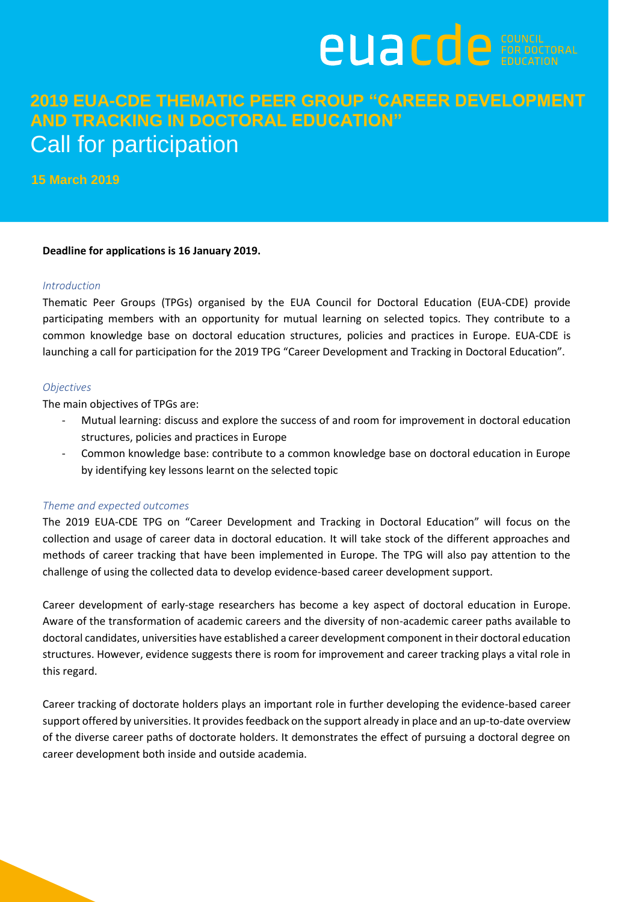

# **2019 EUA-CDE THEMATIC PEER GROUP "CAREER DEVELOPMENT AND TRACKING IN DOCTORAL EDUCATION"** Call for participation

**15 March 2019**

# **Deadline for applications is 16 January 2019.**

#### *Introduction*

Thematic Peer Groups (TPGs) organised by the EUA Council for Doctoral Education (EUA-CDE) provide participating members with an opportunity for mutual learning on selected topics. They contribute to a common knowledge base on doctoral education structures, policies and practices in Europe. EUA-CDE is launching a call for participation for the 2019 TPG "Career Development and Tracking in Doctoral Education".

#### *Objectives*

The main objectives of TPGs are:

- Mutual learning: discuss and explore the success of and room for improvement in doctoral education structures, policies and practices in Europe
- Common knowledge base: contribute to a common knowledge base on doctoral education in Europe by identifying key lessons learnt on the selected topic

# *Theme and expected outcomes*

The 2019 EUA-CDE TPG on "Career Development and Tracking in Doctoral Education" will focus on the collection and usage of career data in doctoral education. It will take stock of the different approaches and methods of career tracking that have been implemented in Europe. The TPG will also pay attention to the challenge of using the collected data to develop evidence-based career development support.

Career development of early-stage researchers has become a key aspect of doctoral education in Europe. Aware of the transformation of academic careers and the diversity of non-academic career paths available to doctoral candidates, universities have established a career development component in their doctoral education structures. However, evidence suggests there is room for improvement and career tracking plays a vital role in this regard.

Career tracking of doctorate holders plays an important role in further developing the evidence-based career support offered by universities. It provides feedback on the support already in place and an up-to-date overview of the diverse career paths of doctorate holders. It demonstrates the effect of pursuing a doctoral degree on career development both inside and outside academia.